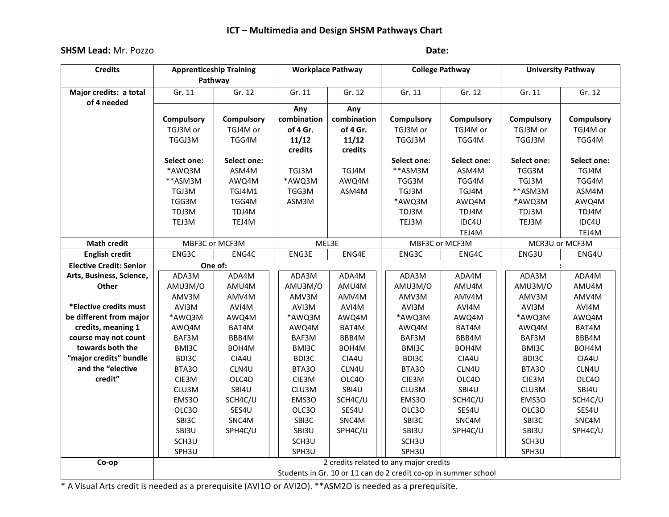# **ICT – Multimedia and Design SHSM Pathways Chart**

## **SHSM Lead:** Mr. Pozzo **Date:**

| <b>Credits</b>                 | <b>Apprenticeship Training</b><br>Pathway                       |                   | <b>Workplace Pathway</b> |             | <b>College Pathway</b> |             | <b>University Pathway</b> |             |
|--------------------------------|-----------------------------------------------------------------|-------------------|--------------------------|-------------|------------------------|-------------|---------------------------|-------------|
|                                |                                                                 |                   |                          |             |                        |             |                           |             |
| Major credits: a total         | Gr. 11                                                          | Gr. 12            | Gr. 11                   | Gr. 12      | Gr. 11                 | Gr. 12      | Gr. 11                    | Gr. 12      |
| of 4 needed                    |                                                                 |                   | Any                      | Any         |                        |             |                           |             |
|                                | Compulsory                                                      | <b>Compulsory</b> | combination              | combination | Compulsory             | Compulsory  | Compulsory                | Compulsory  |
|                                | TGJ3M or                                                        | TGJ4M or          | of 4 Gr.                 | of 4 Gr.    | TGJ3M or               | TGJ4M or    | TGJ3M or                  | TGJ4M or    |
|                                | TGGJ3M                                                          | TGG4M             | 11/12                    | 11/12       | TGGJ3M                 | TGG4M       | TGGJ3M                    | TGG4M       |
|                                |                                                                 |                   | credits                  | credits     |                        |             |                           |             |
|                                | Select one:                                                     | Select one:       |                          |             | Select one:            | Select one: | Select one:               | Select one: |
|                                | *AWQ3M                                                          | ASM4M             | TGJ3M                    | TGJ4M       | **ASM3M                | ASM4M       | TGG3M                     | TGJ4M       |
|                                | **ASM3M                                                         | AWQ4M             | *AWQ3M                   | AWQ4M       | TGG3M                  | TGG4M       | TGJ3M                     | TGG4M       |
|                                | TGJ3M                                                           | TGJ4M1            | TGG3M                    | ASM4M       | TGJ3M                  | TGJ4M       | **ASM3M                   | ASM4M       |
|                                | TGG3M                                                           | TGG4M             | ASM3M                    |             | *AWQ3M                 | AWQ4M       | *AWQ3M                    | AWQ4M       |
|                                | TDJ3M                                                           | TDJ4M             |                          |             | TDJ3M                  | TDJ4M       | TDJ3M                     | TDJ4M       |
|                                | TEJ3M                                                           | TEJ4M             |                          |             | TEJ3M                  | IDC4U       | TEJ3M                     | IDC4U       |
|                                |                                                                 |                   |                          |             |                        | TEJ4M       |                           | TEJ4M       |
| <b>Math credit</b>             | MBF3C or MCF3M                                                  |                   | MEL3E                    |             | MBF3C or MCF3M         |             | MCR3U or MCF3M            |             |
| <b>English credit</b>          | ENG3C                                                           | ENG4C             | ENG3E                    | ENG4E       | ENG3C                  | ENG4C       | ENG3U                     | ENG4U       |
| <b>Elective Credit: Senior</b> |                                                                 | One of:           |                          |             |                        |             | $\ddot{\cdot}$            |             |
| Arts, Business, Science,       | ADA3M                                                           | ADA4M             | ADA3M                    | ADA4M       | ADA3M                  | ADA4M       | ADA3M                     | ADA4M       |
| Other                          | AMU3M/O                                                         | AMU4M             | AMU3M/O                  | AMU4M       | AMU3M/O                | AMU4M       | AMU3M/O                   | AMU4M       |
|                                | AMV3M                                                           | AMV4M             | AMV3M                    | AMV4M       | AMV3M                  | AMV4M       | AMV3M                     | AMV4M       |
| *Elective credits must         | AVI3M                                                           | AVI4M             | AVI3M                    | AVI4M       | AVI3M                  | AVI4M       | AVI3M                     | AVI4M       |
| be different from major        | *AWQ3M                                                          | AWQ4M             | *AWQ3M                   | AWQ4M       | *AWQ3M                 | AWQ4M       | *AWQ3M                    | AWQ4M       |
| credits, meaning 1             | AWQ4M                                                           | BAT4M             | AWQ4M                    | BAT4M       | AWQ4M                  | BAT4M       | AWQ4M                     | BAT4M       |
| course may not count           | BAF3M                                                           | BBB4M             | BAF3M                    | BBB4M       | BAF3M                  | BBB4M       | BAF3M                     | BBB4M       |
| towards both the               | BMI3C                                                           | BOH4M             | BMI3C                    | BOH4M       | BMI3C                  | BOH4M       | BMI3C                     | BOH4M       |
| "major credits" bundle         | BDI3C                                                           | CIA4U             | BDI3C                    | CIA4U       | BDI3C                  | CIA4U       | BDI3C                     | CIA4U       |
| and the "elective              | BTA3O                                                           | CLN4U             | BTA3O                    | CLN4U       | BTA3O                  | CLN4U       | BTA3O                     | CLN4U       |
| credit"                        | CIE3M                                                           | OLC40             | CIE3M                    | OLC40       | CIE3M                  | OLC40       | CIE3M                     | OLC40       |
|                                | CLU3M                                                           | SBI4U             | CLU3M                    | SBI4U       | CLU3M                  | SBI4U       | CLU3M                     | SBI4U       |
|                                | EMS30                                                           | SCH4C/U           | EMS30                    | SCH4C/U     | EMS30                  | SCH4C/U     | EMS30                     | SCH4C/U     |
|                                | OLC3O                                                           | SES4U             | OLC3O                    | SES4U       | OLC3O                  | SES4U       | OLC3O                     | SES4U       |
|                                | SBI3C                                                           | SNC4M             | SBI3C                    | SNC4M       | SBI3C                  | SNC4M       | SBI3C                     | SNC4M       |
|                                | SBI3U                                                           | SPH4C/U           | SBI3U                    | SPH4C/U     | SBI3U                  | SPH4C/U     | SBI3U                     | SPH4C/U     |
|                                | SCH3U                                                           |                   | SCH3U                    |             | SCH3U                  |             | SCH3U                     |             |
|                                | SPH3U                                                           |                   | SPH3U                    |             | SPH3U                  |             | SPH3U                     |             |
| Co-op                          | 2 credits related to any major credits                          |                   |                          |             |                        |             |                           |             |
|                                | Students in Gr. 10 or 11 can do 2 credit co-op in summer school |                   |                          |             |                        |             |                           |             |

\* A Visual Arts credit is needed as a prerequisite (AVI1O or AVI2O). \*\*ASM2O is needed as a prerequisite.